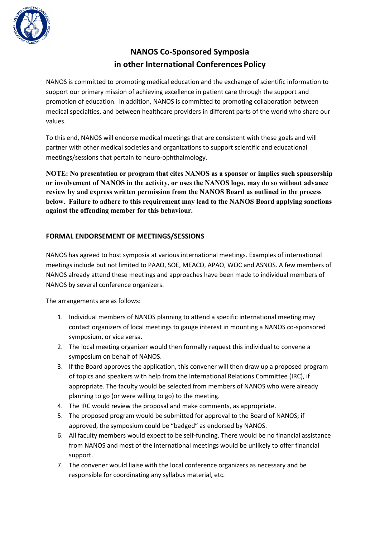

## **NANOS Co-Sponsored Symposia in other International Conferences Policy**

NANOS is committed to promoting medical education and the exchange of scientific information to support our primary mission of achieving excellence in patient care through the support and promotion of education. In addition, NANOS is committed to promoting collaboration between medical specialties, and between healthcare providers in different parts of the world who share our values.

To this end, NANOS will endorse medical meetings that are consistent with these goals and will partner with other medical societies and organizations to support scientific and educational meetings/sessions that pertain to neuro-ophthalmology.

**NOTE: No presentation or program that cites NANOS as a sponsor or implies such sponsorship or involvement of NANOS in the activity, or uses the NANOS logo, may do so without advance review by and express written permission from the NANOS Board as outlined in the process below. Failure to adhere to this requirement may lead to the NANOS Board applying sanctions against the offending member for this behaviour.**

## **FORMAL ENDORSEMENT OF MEETINGS/SESSIONS**

NANOS has agreed to host symposia at various international meetings. Examples of international meetings include but not limited to PAAO, SOE, MEACO, APAO, WOC and ASNOS. A few members of NANOS already attend these meetings and approaches have been made to individual members of NANOS by several conference organizers.

The arrangements are as follows:

- 1. Individual members of NANOS planning to attend a specific international meeting may contact organizers of local meetings to gauge interest in mounting a NANOS co-sponsored symposium, or vice versa.
- 2. The local meeting organizer would then formally request this individual to convene a symposium on behalf of NANOS.
- 3. If the Board approves the application, this convener will then draw up a proposed program of topics and speakers with help from the International Relations Committee (IRC), if appropriate. The faculty would be selected from members of NANOS who were already planning to go (or were willing to go) to the meeting.
- 4. The IRC would review the proposal and make comments, as appropriate.
- 5. The proposed program would be submitted for approval to the Board of NANOS; if approved, the symposium could be "badged" as endorsed by NANOS.
- 6. All faculty members would expect to be self-funding. There would be no financial assistance from NANOS and most of the international meetings would be unlikely to offer financial support.
- 7. The convener would liaise with the local conference organizers as necessary and be responsible for coordinating any syllabus material, etc.